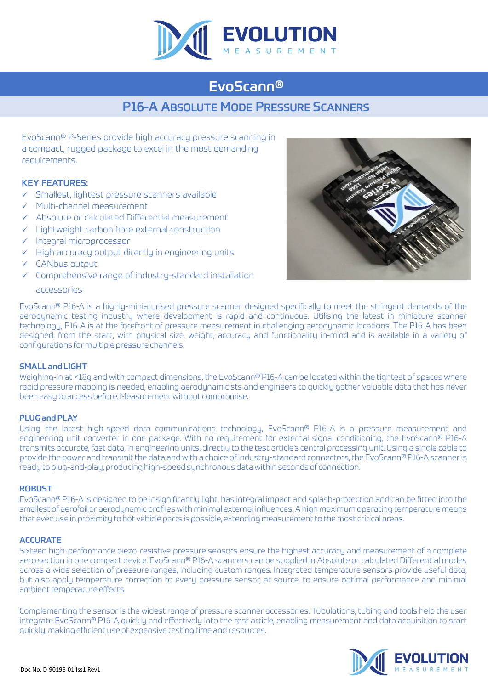

## EvoScann®

### P16-A ABSOLUTE MODE PRESSURE SCANNERS

EvoScann® P-Series provide high accuracy pressure scanning in a compact, rugged package to excel in the most demanding requirements.

#### KEY FEATURES:

- $\checkmark$  Smallest, lightest pressure scanners available
- $\checkmark$  Multi-channel measurement
- $\checkmark$  Absolute or calculated Differential measurement
- $\checkmark$  Lightweight carbon fibre external construction
- $\checkmark$  Integral microprocessor
- $\checkmark$  High accuracy output directly in engineering units
- $\checkmark$  CANbus output
- $\checkmark$  Comprehensive range of industry-standard installation



accessories

EvoScann® P16-A is a highly-miniaturised pressure scanner designed specifically to meet the stringent demands of the aerodynamic testing industry where development is rapid and continuous. Utilising the latest in miniature scanner technology, P16-A is at the forefront of pressure measurement in challenging aerodynamic locations. The P16-A has been designed, from the start, with physical size, weight, accuracy and functionality in-mind and is available in a variety of configurations for multiple pressure channels.

#### SMALL and LIGHT

Weighing-in at <18g and with compact dimensions, the EvoScann® P16-A can be located within the tightest of spaces where rapid pressure mapping is needed, enabling aerodynamicists and engineers to quickly gather valuable data that has never been easy to access before. Measurement without compromise.

#### PLUG and PLAY

Using the latest high-speed data communications technology, EvoScann® P16-A is a pressure measurement and engineering unit converter in one package. With no requirement for external signal conditioning, the EvoScann® P16-A transmits accurate, fast data, in engineering units, directly to the test article's central processing unit. Using a single cable to provide the power and transmit the data and with a choice of industry-standard connectors, the EvoScann® P16-A scanner is ready to plug-and-play, producing high-speed synchronous data within seconds of connection.

#### **ROBUST**

EvoScann® P16-A is designed to be insignificantly light, has integral impact and splash-protection and can be fitted into the smallest of aerofoil or aerodynamic profiles with minimal external influences. A high maximum operating temperature means that even use in proximity to hot vehicle parts is possible, extending measurement to the most critical areas.

#### **ACCURATE**

Sixteen high-performance piezo-resistive pressure sensors ensure the highest accuracy and measurement of a complete aero section in one compact device. EvoScann® P16-A scanners can be supplied in Absolute or calculated Differential modes across a wide selection of pressure ranges, including custom ranges. Integrated temperature sensors provide useful data, but also apply temperature correction to every pressure sensor, at source, to ensure optimal performance and minimal ambient temperature effects.

Complementing the sensor is the widest range of pressure scanner accessories. Tubulations, tubing and tools help the user integrate EvoScann® P16-A quickly and effectively into the test article, enabling measurement and data acquisition to start quickly, making efficient use of expensive testing time and resources.